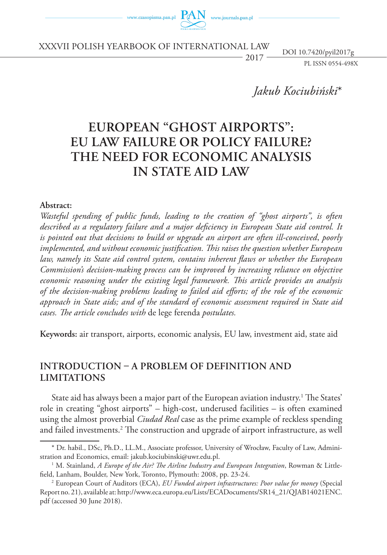

XXXVIi POLISH Yearbook of international law

 $2017 \frac{201101 \text{ Hz} \cdot \text{Fy} \cdot \text{m} \cdot \text{Fy}}{PL \cdot \text{ISSN} \cdot 0554 - 498X}$ DOI 10.7420/pyil2017g

*Jakub Kociubiński*\*

# **European "ghost airports": EU law failure or policy failure? The need for economic analysis in State aid law**

#### **Abstract:**

*Wasteful spending of public funds, leading to the creation of "ghost airports", is often described as a regulatory failure and a major deficiency in European State aid control. It is pointed out that decisions to build or upgrade an airport are often ill-conceived*, *poorly implemented, and without economic justification. This raises the question whether European law, namely its State aid control system, contains inherent flaws or whether the European Commission's decision-making process can be improved by increasing reliance on objective economic reasoning under the existing legal framework. This article provides an analysis of the decision-making problems leading to failed aid efforts; of the role of the economic approach in State aids; and of the standard of economic assessment required in State aid cases. The article concludes with* de lege ferenda *postulates.*

**Keywords:** air transport, airports, economic analysis, EU law, investment aid, state aid

# **Introduction – a problem of definition and limitations**

State aid has always been a major part of the European aviation industry.1 The States' role in creating "ghost airports" – high-cost, underused facilities – is often examined using the almost proverbial *Ciudad Real* case as the prime example of reckless spending and failed investments.<sup>2</sup> The construction and upgrade of airport infrastructure, as well

<sup>\*</sup> Dr. habil., DSc, Ph.D., LL.M., Associate professor, University of Wrocław, Faculty of Law, Administration and Economics, email: jakub.kociubinski@uwr.edu.pl.

M. Stainland, *A Europe of the Air? The Airline Industry and European Integration*, Rowman & Littlefield, Lanham, Boulder, New York, Toronto, Plymouth: 2008, pp. 23-24.

<sup>2</sup> European Court of Auditors (ECA), *EU Funded airport infrastructures: Poor value for money* (Special Report no. 21), available at: http://www.eca.europa.eu/Lists/ECADocuments/SR14\_21/QJAB14021ENC. pdf (accessed 30 June 2018).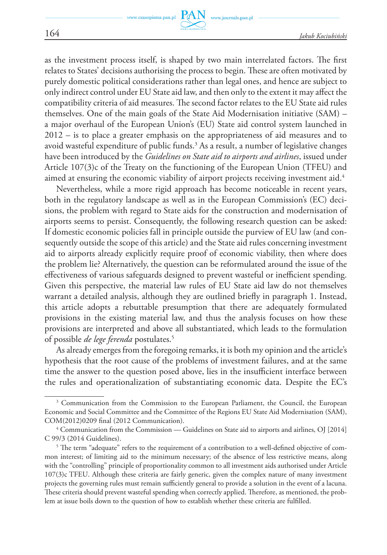as the investment process itself, is shaped by two main interrelated factors. The first relates to States' decisions authorising the process to begin. These are often motivated by purely domestic political considerations rather than legal ones, and hence are subject to only indirect control under EU State aid law, and then only to the extent it may affect the compatibility criteria of aid measures. The second factor relates to the EU State aid rules themselves. One of the main goals of the State Aid Modernisation initiative (SAM) – a major overhaul of the European Union's (EU) State aid control system launched in 2012 – is to place a greater emphasis on the appropriateness of aid measures and to avoid wasteful expenditure of public funds.<sup>3</sup> As a result, a number of legislative changes have been introduced by the *Guidelines on State aid to airports and airlines*, issued under Article 107(3)c of the Treaty on the functioning of the European Union (TFEU) and aimed at ensuring the economic viability of airport projects receiving investment aid.<sup>4</sup>

Nevertheless, while a more rigid approach has become noticeable in recent years, both in the regulatory landscape as well as in the European Commission's (EC) decisions, the problem with regard to State aids for the construction and modernisation of airports seems to persist. Consequently, the following research question can be asked: If domestic economic policies fall in principle outside the purview of EU law (and consequently outside the scope of this article) and the State aid rules concerning investment aid to airports already explicitly require proof of economic viability, then where does the problem lie? Alternatively, the question can be reformulated around the issue of the effectiveness of various safeguards designed to prevent wasteful or inefficient spending. Given this perspective, the material law rules of EU State aid law do not themselves warrant a detailed analysis, although they are outlined briefly in paragraph 1. Instead, this article adopts a rebuttable presumption that there are adequately formulated provisions in the existing material law, and thus the analysis focuses on how these provisions are interpreted and above all substantiated, which leads to the formulation of possible *de lege ferenda* postulates.5

As already emerges from the foregoing remarks, it is both my opinion and the article's hypothesis that the root cause of the problems of investment failures, and at the same time the answer to the question posed above, lies in the insufficient interface between the rules and operationalization of substantiating economic data. Despite the EC's

<sup>3</sup> Communication from the Commission to the European Parliament, the Council, the European Economic and Social Committee and the Committee of the Regions EU State Aid Modernisation (SAM), COM(2012)0209 final (2012 Communication).

<sup>4</sup> Communication from the Commission — Guidelines on State aid to airports and airlines, OJ [2014] C 99/3 (2014 Guidelines).

 $^5$  The term "adequate" refers to the requirement of a contribution to a well-defined objective of common interest; of limiting aid to the minimum necessary; of the absence of less restrictive means, along with the "controlling" principle of proportionality common to all investment aids authorised under Article 107(3)c TFEU. Although these criteria are fairly generic, given the complex nature of many investment projects the governing rules must remain sufficiently general to provide a solution in the event of a lacuna. These criteria should prevent wasteful spending when correctly applied. Therefore, as mentioned, the problem at issue boils down to the question of how to establish whether these criteria are fulfilled.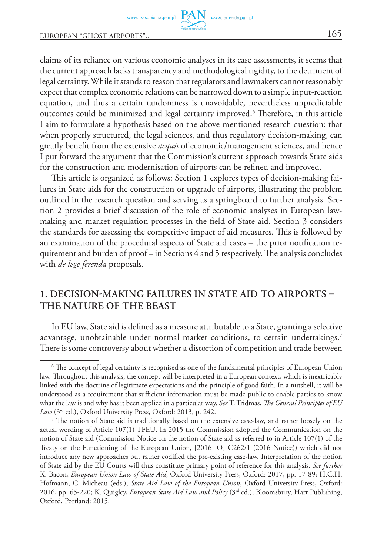claims of its reliance on various economic analyses in its case assessments, it seems that the current approach lacks transparency and methodological rigidity, to the detriment of legal certainty. While it stands to reason that regulators and lawmakers cannot reasonably expect that complex economic relations can be narrowed down to a simple input-reaction equation, and thus a certain randomness is unavoidable, nevertheless unpredictable outcomes could be minimized and legal certainty improved.<sup>6</sup> Therefore, in this article I aim to formulate a hypothesis based on the above-mentioned research question: that when properly structured, the legal sciences, and thus regulatory decision-making, can greatly benefit from the extensive *acquis* of economic/management sciences, and hence I put forward the argument that the Commission's current approach towards State aids for the construction and modernisation of airports can be refined and improved.

This article is organized as follows: Section 1 explores types of decision-making failures in State aids for the construction or upgrade of airports, illustrating the problem outlined in the research question and serving as a springboard to further analysis. Section 2 provides a brief discussion of the role of economic analyses in European lawmaking and market regulation processes in the field of State aid. Section 3 considers the standards for assessing the competitive impact of aid measures. This is followed by an examination of the procedural aspects of State aid cases – the prior notification requirement and burden of proof – in Sections 4 and 5 respectively. The analysis concludes with *de lege ferenda* proposals.

## **1. Decision-making failures in State aid to airports – the nature of the beast**

In EU law, State aid is defined as a measure attributable to a State, granting a selective advantage, unobtainable under normal market conditions, to certain undertakings.<sup>7</sup> There is some controversy about whether a distortion of competition and trade between

<sup>6</sup> The concept of legal certainty is recognised as one of the fundamental principles of European Union law. Throughout this analysis, the concept will be interpreted in a European context, which is inextricably linked with the doctrine of legitimate expectations and the principle of good faith. In a nutshell, it will be understood as a requirement that sufficient information must be made public to enable parties to know what the law is and why has it been applied in a particular way. *See* T. Tridmas, *The General Principles of EU Law* (3rd ed.), Oxford University Press, Oxford: 2013, p. 242.

<sup>7</sup> The notion of State aid is traditionally based on the extensive case-law, and rather loosely on the actual wording of Article 107(1) TFEU. In 2015 the Commission adopted the Communication on the notion of State aid (Commission Notice on the notion of State aid as referred to in Article 107(1) of the Treaty on the Functioning of the European Union, [2016] OJ C262/1 (2016 Notice)) which did not introduce any new approaches but rather codified the pre-existing case-law. Interpretation of the notion of State aid by the EU Courts will thus constitute primary point of reference for this analysis. *See further* K. Bacon, *European Union Law of State Aid*, Oxford University Press, Oxford: 2017, pp. 17-89; H.C.H. Hofmann, C. Micheau (eds.), *State Aid Law of the European Union*, Oxford University Press, Oxford: 2016, pp. 65-220; K. Quigley, *European State Aid Law and Policy* (3rd ed.), Bloomsbury, Hart Publishing, Oxford, Portland: 2015.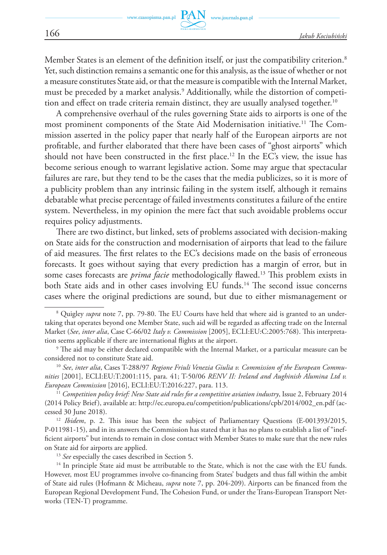Member States is an element of the definition itself, or just the compatibility criterion.<sup>8</sup> Yet, such distinction remains a semantic one for this analysis, as the issue of whether or not a measure constitutes State aid, or that the measure is compatible with the Internal Market, must be preceded by a market analysis.<sup>9</sup> Additionally, while the distortion of competi tion and effect on trade criteria remain distinct, they are usually analysed together.<sup>10</sup>

A comprehensive overhaul of the rules governing State aids to airports is one of the most prominent components of the State Aid Modernisation initiative.<sup>11</sup> The Commission asserted in the policy paper that nearly half of the European airports are not profitable, and further elaborated that there have been cases of "ghost airports" which should not have been constructed in the first place.<sup>12</sup> In the EC's view, the issue has become serious enough to warrant legislative action. Some may argue that spectacular failures are rare, but they tend to be the cases that the media publicizes, so it is more of a publicity problem than any intrinsic failing in the system itself, although it remains debatable what precise percentage of failed investments constitutes a failure of the entire system. Nevertheless, in my opinion the mere fact that such avoidable problems occur requires policy adjustments.

There are two distinct, but linked, sets of problems associated with decision-making on State aids for the construction and modernisation of airports that lead to the failure of aid measures. The first relates to the EC's decisions made on the basis of erroneous forecasts. It goes without saying that every prediction has a margin of error, but in some cases forecasts are *prima facie* methodologically flawed.<sup>13</sup> This problem exists in both State aids and in other cases involving EU funds.<sup>14</sup> The second issue concerns cases where the original predictions are sound, but due to either mismanagement or

(2014 Policy Brief), available at: http://ec.europa.eu/competition/publications/cpb/2014/002\_en.pdf (accessed 30 June 2018).

<sup>12</sup> *Ibidem*, p. 2. This issue has been the subject of Parliamentary Questions (E-001393/2015, P-011981-15), and in its answers the Commission has stated that it has no plans to establish a list of "inefficient airports" but intends to remain in close contact with Member States to make sure that the new rules on State aid for airports are applied.

<sup>13</sup> *See* especially the cases described in Section 5.

<sup>14</sup> In principle State aid must be attributable to the State, which is not the case with the EU funds. However, most EU programmes involve co-financing from States' budgets and thus fall within the ambit of State aid rules (Hofmann & Micheau, *supra* note 7, pp. 204-209). Airports can be financed from the European Regional Development Fund, The Cohesion Fund, or under the Trans-European Transport Networks (TEN-T) programme.

<sup>&</sup>lt;sup>8</sup> Quigley *supra* note 7, pp. 79-80. The EU Courts have held that where aid is granted to an undertaking that operates beyond one Member State, such aid will be regarded as affecting trade on the Internal Market (*See*, *inter alia*, Case C-66/02 *Italy v. Commission* [2005], ECLI:EU:C:2005:768). This interpretation seems applicable if there are international flights at the airport.

<sup>9</sup> The aid may be either declared compatible with the Internal Market, or a particular measure can be considered not to constitute State aid.

<sup>10</sup> *See*, *inter alia*, Cases T-288/97 *Regione Friuli Venezia Giulia v. Commission of the European Communities* [2001], ECLI:EU:T:2001:115, para. 41; T-50/06 *RENV II: Ireland and Aughinish Alumina Ltd v. European Commission* [2016], ECLI:EU:T:2016:227, para. 113. 11 *Competition policy brief: New State aid rules for a competitive aviation industry*, Issue 2, February 2014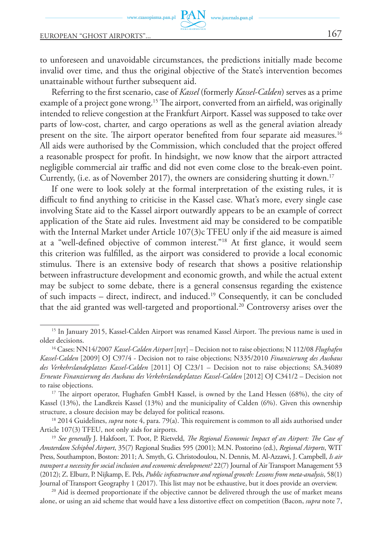to unforeseen and unavoidable circumstances, the predictions initially made become invalid over time, and thus the original objective of the State's intervention becomes unattainable without further subsequent aid.

www.journals.pan.pl

Referring to the first scenario, case of *Kassel* (formerly *Kassel-Calden*) serves as a prime example of a project gone wrong.<sup>15</sup> The airport, converted from an airfield, was originally intended to relieve congestion at the Frankfurt Airport. Kassel was supposed to take over parts of low-cost, charter, and cargo operations as well as the general aviation already present on the site. The airport operator benefited from four separate aid measures.16 All aids were authorised by the Commission, which concluded that the project offered a reasonable prospect for profit. In hindsight, we now know that the airport attracted negligible commercial air traffic and did not even come close to the break-even point. Currently, (i.e. as of November 2017), the owners are considering shutting it down.17

If one were to look solely at the formal interpretation of the existing rules, it is difficult to find anything to criticise in the Kassel case. What's more, every single case involving State aid to the Kassel airport outwardly appears to be an example of correct application of the State aid rules. Investment aid may be considered to be compatible with the Internal Market under Article 107(3)c TFEU only if the aid measure is aimed at a "well-defined objective of common interest."18 At first glance, it would seem this criterion was fulfilled, as the airport was considered to provide a local economic stimulus. There is an extensive body of research that shows a positive relationship between infrastructure development and economic growth, and while the actual extent may be subject to some debate, there is a general consensus regarding the existence of such impacts – direct, indirect, and induced.19 Consequently, it can be concluded that the aid granted was well-targeted and proportional.<sup>20</sup> Controversy arises over the

<sup>&</sup>lt;sup>15</sup> In January 2015, Kassel-Calden Airport was renamed Kassel Airport. The previous name is used in older decisions.

<sup>16</sup> Cases: NN14/2007 *Kassel-Calden Airport* [nyr] – Decision not to raise objections; N 112/08 *Flughafen Kassel-Calden* [2009] OJ C97/4 - Decision not to raise objections; N335/2010 *Finanzierung des Ausbaus des Verkehrslandeplatzes Kassel-Calden* [2011] OJ C23/1 – Decision not to raise objections; SA.34089 *Erneute Finanzierung des Ausbaus des Verkehrslandeplatzes Kassel-Calden* [2012] OJ C341/2 – Decision not to raise objections.

<sup>&</sup>lt;sup>17</sup> The airport operator, Flughafen GmbH Kassel, is owned by the Land Hessen (68%), the city of Kassel (13%), the Landkreis Kassel (13%) and the municipality of Calden (6%). Given this ownership structure, a closure decision may be delayed for political reasons.

<sup>&</sup>lt;sup>18</sup> 2014 Guidelines, *supra* note 4, para. 79(a). This requirement is common to all aids authorised under Article 107(3) TFEU, not only aids for airports.

<sup>19</sup> *See generally* J. Hakfoort, T. Poot, P. Rietveld, *The Regional Economic Impact of an Airport: The Case of Amsterdam Schiphol Airport*, 35(7) Regional Studies 595 (2001); M.N. Postorino (ed.), *Regional Airports*, WIT Press, Southampton, Boston: 2011; A. Smyth, G. Christodoulou, N. Dennis, M. Al-Azzawi, J. Campbell, *Is air transport a necessity for social inclusion and economic development?* 22(7) Journal of Air Transport Management 53 (2012); Z. Elburz, P. Nijkamp, E. Pels, *Public infrastructure and regional growth: Lessons from meta-analysis*, 58(1) Journal of Transport Geography 1 (2017). This list may not be exhaustive, but it does provide an overview.

 $20$  Aid is deemed proportionate if the objective cannot be delivered through the use of market means alone, or using an aid scheme that would have a less distortive effect on competition (Bacon, *supra* note 7,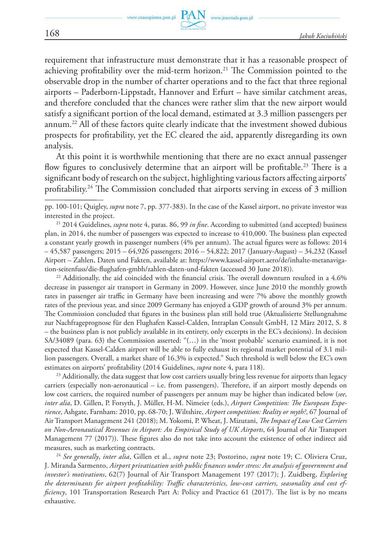requirement that infrastructure must demonstrate that it has a reasonable prospect of achieving profitability over the mid-term horizon.21 The Commission pointed to the observable drop in the number of charter operations and to the fact that three regional airports – Paderborn-Lippstadt, Hannover and Erfurt – have similar catchment areas, and therefore concluded that the chances were rather slim that the new airport would satisfy a significant portion of the local demand, estimated at 3.3 million passengers per annum.22 All of these factors quite clearly indicate that the investment showed dubious prospects for profitability, yet the EC cleared the aid, apparently disregarding its own analysis.

At this point it is worthwhile mentioning that there are no exact annual passenger flow figures to conclusively determine that an airport will be profitable.<sup>23</sup> There is a significant body of research on the subject, highlighting various factors affecting airports' profitability.24 The Commission concluded that airports serving in excess of 3 million

 $22$  Additionally, the aid coincided with the financial crisis. The overall downturn resulted in a  $4.6\%$ decrease in passenger air transport in Germany in 2009. However, since June 2010 the monthly growth rates in passenger air traffic in Germany have been increasing and were 7% above the monthly growth rates of the previous year, and since 2009 Germany has enjoyed a GDP growth of around 3% per annum. The Commission concluded that figures in the business plan still hold true (Aktualisierte Stellungnahme zur Nachfrageprognose für den Flughafen Kassel-Calden, Intraplan Consult GmbH, 12 März 2012, S. 8 – the business plan is not publicly available in its entirety, only excerpts in the EC's decisions). In decision SA/34089 (para. 63) the Commission asserted: "(…) in the 'most probable' scenario examined, it is not expected that Kassel-Calden airport will be able to fully exhaust its regional market potential of 3.1 million passengers. Overall, a market share of 16.3% is expected." Such threshold is well below the EC's own estimates on airports' profitability (2014 Guidelines, *supra* note 4, para 118).

<sup>23</sup> Additionally, the data suggest that low cost carriers usually bring less revenue for airports than legacy carriers (especially non-aeronautical – i.e. from passengers). Therefore, if an airport mostly depends on low cost carriers, the required number of passengers per annum may be higher than indicated below (*see*, *inter alia*, D. Gillen, P. Forsyth, J. Müller, H-M. Nimeier (eds.), *Airport Competition: The European Experience*, Ashgate, Farnham: 2010, pp. 68-70; J. Wiltshire, *Airport competition: Reality or myth?*, 67 Journal of Air Transport Management 241 (2018); M. Yokomi, P. Wheat, J. Mizutani, *The Impact of Low Cost Carriers on Non-Aeronautical Revenues in Airport: An Empirical Study of UK Airports*, 64 Journal of Air Transport Management 77 (2017)). These figures also do not take into account the existence of other indirect aid measures, such as marketing contracts.

<sup>24</sup> *See generally*, *inter alia*, Gillen et al., *supra* note 23; Postorino, *supra* note 19; C. Oliviera Cruz, J. Miranda Sarmento, *Airport privatization with public finances under stress: An analysis of government and investor's motivations*, 62(7) Journal of Air Transport Management 197 (2017); J. Zuidberg, *Exploring the determinants for airport profitability: Traffic characteristics, low-cost carriers, seasonality and cost efficiency*, 101 Transportation Research Part A: Policy and Practice 61 (2017). The list is by no means exhaustive.

pp. 100-101; Quigley, *supra* note 7, pp. 377-383). In the case of the Kassel airport, no private investor was interested in the project.

<sup>21 2014</sup> Guidelines, *supra* note 4, paras. 86, 99 *in fine*. According to submitted (and accepted) business plan, in 2014, the number of passengers was expected to increase to 410,000. The business plan expected a constant yearly growth in passenger numbers (4% per annum). The actual figures were as follows: 2014 – 45,587 passengers; 2015 – 64,926 passengers; 2016 – 54,822; 2017 (January-August) – 34,232 (Kassel Airport – Zahlen, Daten und Fakten, available at: https://www.kassel-airport.aero/de/inhalte-metanavigation-seitenfuss/die-flughafen-gmbh/zahlen-daten-und-fakten (accessed 30 June 2018)).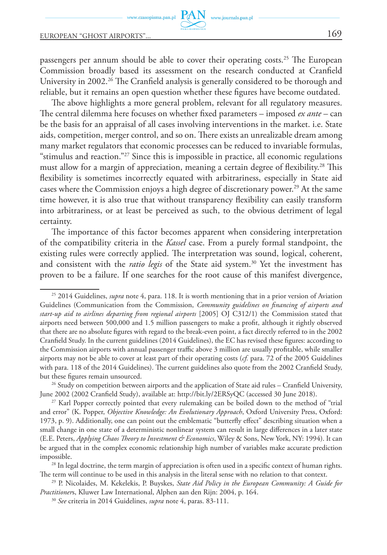passengers per annum should be able to cover their operating costs.<sup>25</sup> The European Commission broadly based its assessment on the research conducted at Cranfield University in 2002.<sup>26</sup> The Cranfield analysis is generally considered to be thorough and reliable, but it remains an open question whether these figures have become outdated.

www.journals.pan.pl

The above highlights a more general problem, relevant for all regulatory measures. The central dilemma here focuses on whether fixed parameters – imposed *ex ante* – can be the basis for an appraisal of all cases involving interventions in the market. i.e. State aids, competition, merger control, and so on. There exists an unrealizable dream among many market regulators that economic processes can be reduced to invariable formulas, "stimulus and reaction."27 Since this is impossible in practice, all economic regulations must allow for a margin of appreciation, meaning a certain degree of flexibility.<sup>28</sup> This flexibility is sometimes incorrectly equated with arbitrariness, especially in State aid cases where the Commission enjoys a high degree of discretionary power.<sup>29</sup> At the same time however, it is also true that without transparency flexibility can easily transform into arbitrariness, or at least be perceived as such, to the obvious detriment of legal certainty.

The importance of this factor becomes apparent when considering interpretation of the compatibility criteria in the *Kassel* case. From a purely formal standpoint, the existing rules were correctly applied. The interpretation was sound, logical, coherent, and consistent with the *ratio legis* of the State aid system.<sup>30</sup> Yet the investment has proven to be a failure. If one searches for the root cause of this manifest divergence,

<sup>25 2014</sup> Guidelines, *supra* note 4, para. 118. It is worth mentioning that in a prior version of Aviation Guidelines (Communication from the Commission, *Community guidelines on financing of airports and start-up aid to airlines departing from regional airports* [2005] OJ C312/1) the Commission stated that airports need between 500,000 and 1.5 million passengers to make a profit, although it rightly observed that there are no absolute figures with regard to the break-even point, a fact directly referred to in the 2002 Cranfield Study. In the current guidelines (2014 Guidelines), the EC has revised these figures: according to the Commission airports with annual passenger traffic above 3 million are usually profitable, while smaller airports may not be able to cover at least part of their operating costs (*cf.* para. 72 of the 2005 Guidelines with para. 118 of the 2014 Guidelines). The current guidelines also quote from the 2002 Cranfield Study, but these figures remain unsourced.

<sup>&</sup>lt;sup>26</sup> Study on competition between airports and the application of State aid rules – Cranfield University, June 2002 (2002 Cranfield Study), available at: http://bit.ly/2ERSyQC (accessed 30 June 2018).

<sup>&</sup>lt;sup>27</sup> Karl Popper correctly pointed that every rulemaking can be boiled down to the method of "trial" and error" (K. Popper, *Objective Knowledge: An Evolutionary Approach*, Oxford University Press, Oxford: 1973, p. 9). Additionally, one can point out the emblematic "butterfly effect" describing situation when a small change in one state of a deterministic nonlinear system can result in large differences in a later state (E.E. Peters, *Applying Chaos Theory to Investment & Economics*, Wiley & Sons, New York, NY: 1994). It can be argued that in the complex economic relationship high number of variables make accurate prediction impossible.

<sup>&</sup>lt;sup>28</sup> In legal doctrine, the term margin of appreciation is often used in a specific context of human rights. The term will continue to be used in this analysis in the literal sense with no relation to that context.

<sup>29</sup> P. Nicolaides, M. Kekelekis, P. Buyskes, *State Aid Policy in the European Community: A Guide for Practitioner*s, Kluwer Law International, Alphen aan den Rijn: 2004, p. 164.

<sup>30</sup> *See* criteria in 2014 Guidelines, *supra* note 4, paras. 83-111.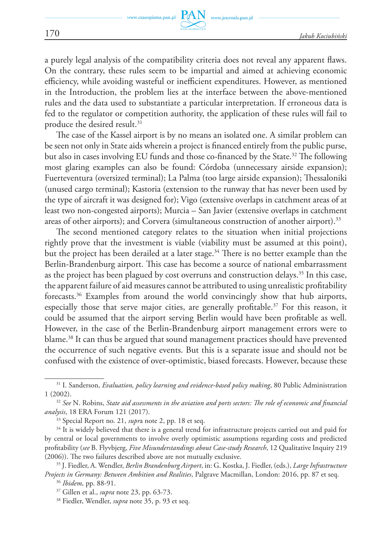a purely legal analysis of the compatibility criteria does not reveal any apparent flaws. On the contrary, these rules seem to be impartial and aimed at achieving economic efficiency, while avoiding wasteful or inefficient expenditures. However, as mentioned in the Introduction, the problem lies at the interface between the above-mentioned rules and the data used to substantiate a particular interpretation. If erroneous data is fed to the regulator or competition authority, the application of these rules will fail to produce the desired result.<sup>31</sup>

The case of the Kassel airport is by no means an isolated one. A similar problem can be seen not only in State aids wherein a project is financed entirely from the public purse, but also in cases involving EU funds and those co-financed by the State.<sup>32</sup> The following most glaring examples can also be found: Córdoba (unnecessary airside expansion); Fuerteventura (oversized terminal); La Palma (too large airside expansion); Thessaloniki (unused cargo terminal); Kastoria (extension to the runway that has never been used by the type of aircraft it was designed for); Vigo (extensive overlaps in catchment areas of at least two non-congested airports); Murcia – San Javier (extensive overlaps in catchment areas of other airports); and Corvera (simultaneous construction of another airport).<sup>33</sup>

The second mentioned category relates to the situation when initial projections rightly prove that the investment is viable (viability must be assumed at this point), but the project has been derailed at a later stage.<sup>34</sup> There is no better example than the Berlin-Brandenburg airport. This case has become a source of national embarrassment as the project has been plagued by cost overruns and construction delays.<sup>35</sup> In this case, the apparent failure of aid measures cannot be attributed to using unrealistic profitability forecasts.36 Examples from around the world convincingly show that hub airports, especially those that serve major cities, are generally profitable.<sup>37</sup> For this reason, it could be assumed that the airport serving Berlin would have been profitable as well. However, in the case of the Berlin-Brandenburg airport management errors were to blame.38 It can thus be argued that sound management practices should have prevented the occurrence of such negative events. But this is a separate issue and should not be confused with the existence of over-optimistic, biased forecasts. However, because these

<sup>31</sup> I. Sanderson, *Evaluation, policy learning and evidence-based policy making*, 80 Public Administration 1 (2002). 32 *See* N. Robins, *State aid assessments in the aviation and ports sectors: The role of economic and financial* 

*analysis*, 18 ERA Forum 121 (2017).

<sup>33</sup> Special Report no. 21, *supr*a note 2, pp. 18 et seq.

<sup>&</sup>lt;sup>34</sup> It is widely believed that there is a general trend for infrastructure projects carried out and paid for by central or local governments to involve overly optimistic assumptions regarding costs and predicted profitability (*see* B. Flyvbjerg, *Five Misunderstandings about Case-study Research*, 12 Qualitative Inquiry 219 (2006)). The two failures described above are not mutually exclusive.

<sup>35</sup> J. Fiedler, A. Wendler, *Berlin Brandenburg Airport*, in: G. Kostka, J. Fiedler, (eds.), *Large Infrastructure Projects in Germany: Between Ambition and Realities*, Palgrave Macmillan, London: 2016, pp. 87 et seq. <sup>36</sup> *Ibidem*, pp. 88-91.

<sup>37</sup> Gillen et al., *supra* note 23, pp. 63-73.

<sup>38</sup> Fiedler, Wendler, *supra* note 35, p. 93 et seq.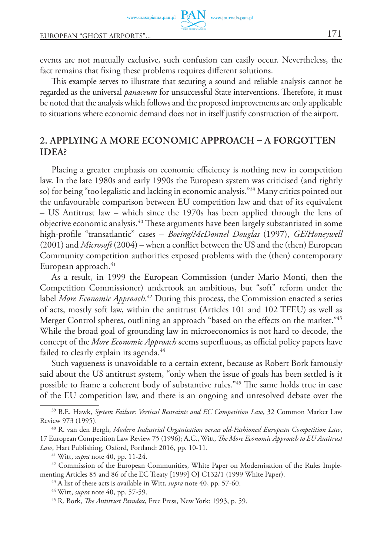www.czasopisma.pan.pl

events are not mutually exclusive, such confusion can easily occur. Nevertheless, the fact remains that fixing these problems requires different solutions.

www.journals.pan.pl

This example serves to illustrate that securing a sound and reliable analysis cannot be regarded as the universal *panaceum* for unsuccessful State interventions. Therefore, it must be noted that the analysis which follows and the proposed improvements are only applicable to situations where economic demand does not in itself justify construction of the airport.

# **2. Applying a more economic approach – a forgotten IDEA?**

Placing a greater emphasis on economic efficiency is nothing new in competition law. In the late 1980s and early 1990s the European system was criticised (and rightly so) for being "too legalistic and lacking in economic analysis."39 Many critics pointed out the unfavourable comparison between EU competition law and that of its equivalent – US Antitrust law – which since the 1970s has been applied through the lens of objective economic analysis.<sup>40</sup> These arguments have been largely substantiated in some high-profile "transatlantic" cases – *Boeing/McDonnel Douglas* (1997), *GE/Honeywell* (2001) and *Microsoft* (2004) – when a conflict between the US and the (then) European Community competition authorities exposed problems with the (then) contemporary European approach. $41$ 

As a result, in 1999 the European Commission (under Mario Monti, then the Competition Commissioner) undertook an ambitious, but "soft" reform under the label *More Economic Approach*. 42 During this process, the Commission enacted a series of acts, mostly soft law, within the antitrust (Articles 101 and 102 TFEU) as well as Merger Control spheres, outlining an approach "based on the effects on the market."<sup>43</sup> While the broad goal of grounding law in microeconomics is not hard to decode, the concept of the *More Economic Approach* seems superfluous, as official policy papers have failed to clearly explain its agenda.<sup>44</sup>

Such vagueness is unavoidable to a certain extent, because as Robert Bork famously said about the US antitrust system, "only when the issue of goals has been settled is it possible to frame a coherent body of substantive rules."45 The same holds true in case of the EU competition law, and there is an ongoing and unresolved debate over the

<sup>39</sup> B.E. Hawk, *System Failure: Vertical Restraints and EC Competition Law*, 32 Common Market Law Review 973 (1995).

<sup>40</sup> R. van den Bergh, *Modern Industrial Organisation versus old-Fashioned European Competition Law*, 17 European Competition Law Review 75 (1996); A.C., Witt, *The More Economic Approach to EU Antitrust Law*, Hart Publishing, Oxford, Portland: 2016, pp. 10-11.

<sup>41</sup> Witt, *supra* note 40, pp. 11-24.

<sup>&</sup>lt;sup>42</sup> Commission of the European Communities, White Paper on Modernisation of the Rules Implementing Articles 85 and 86 of the EC Treaty [1999] OJ C132/1 (1999 White Paper).

<sup>43</sup> A list of these acts is available in Witt, *supra* note 40, pp. 57-60.

<sup>44</sup> Witt, *supra* note 40, pp. 57-59.

<sup>45</sup> R. Bork, *The Antitrust Paradox*, Free Press, New York: 1993, p. 59.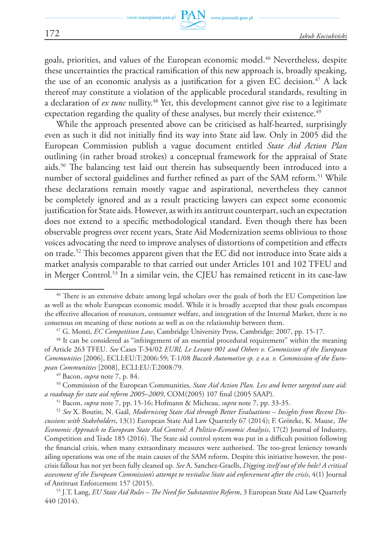goals, priorities, and values of the European economic model.<sup>46</sup> Nevertheless, despite these uncertainties the practical ramification of this new approach is, broadly speaking, the use of an economic analysis as a justification for a given EC decision.<sup>47</sup> A lack thereof may constitute a violation of the applicable procedural standards, resulting in a declaration of *ex tunc* nullity.<sup>48</sup> Yet, this development cannot give rise to a legitimate expectation regarding the quality of these analyses, but merely their existence.<sup>49</sup>

While the approach presented above can be criticised as half-hearted, surprisingly even as such it did not initially find its way into State aid law. Only in 2005 did the European Commission publish a vague document entitled *State Aid Action Plan* outlining (in rather broad strokes) a conceptual framework for the appraisal of State aids.50 The balancing test laid out therein has subsequently been introduced into a number of sectoral guidelines and further refined as part of the SAM reform.<sup>51</sup> While these declarations remain mostly vague and aspirational, nevertheless they cannot be completely ignored and as a result practicing lawyers can expect some economic justification for State aids. However, as with its antitrust counterpart, such an expectation does not extend to a specific methodological standard. Even though there has been observable progress over recent years, State Aid Modernization seems oblivious to those voices advocating the need to improve analyses of distortions of competition and effects on trade.52 This becomes apparent given that the EC did not introduce into State aids a market analysis comparable to that carried out under Articles 101 and 102 TFEU and in Merger Control.<sup>53</sup> In a similar vein, the CJEU has remained reticent in its case-law

 $46$  There is an extensive debate among legal scholars over the goals of both the EU Competition law as well as the whole European economic model. While it is broadly accepted that these goals encompass the effective allocation of resources, consumer welfare, and integration of the Internal Market, there is no consensus on meaning of these notions as well as on the relationship between them.

<sup>47</sup> G. Monti, *EC Competition Law*, Cambridge University Press, Cambridge: 2007, pp. 15-17.

<sup>&</sup>lt;sup>48</sup> It can be considered as "infringement of an essential procedural requirement" within the meaning of Article 263 TFEU. *See* Cases T-34/02 *EURL Le Levant 001 and Others v. Commission of the European Communities* [2006], ECLI:EU:T:2006:59; T-1/08 *Buczek Automotive sp. z o.o. v. Commission of the European Communities* [2008], ECLI:EU:T:2008:79.

<sup>&</sup>lt;sup>49</sup> Bacon, *supra* note 7, p. 84.<br><sup>50</sup> Commission of the European Communities, *State Aid Action Plan. Less and better targeted state aid: a roadmap for state aid reform 2005–2009*, COM(2005) 107 final (2005 SAAP).

<sup>51</sup> Bacon, *supra* note 7, pp. 15-16; Hofmann & Micheau, *supra* note 7, pp. 33-35.

<sup>52</sup> *See* X. Boutin, N. Gaál, *Modernising State Aid through Better Evaluations – Insights from Recent Discussions with Stakeholders*, 13(1) European State Aid Law Quarterly 67 (2014); F. Gröteke, K. Mause, *The Economic Approach to European State Aid Control: A Politico-Economic Analysis*, 17(2) Journal of Industry, Competition and Trade 185 (2016). The State aid control system was put in a difficult position following the financial crisis, when many extraordinary measures were authorised. The too-great leniency towards ailing operations was one of the main causes of the SAM reform. Despite this initiative however, the postcrisis fallout has not yet been fully cleaned up. *See* A. Sanchez-Graells, *Digging itself out of the hole? A critical assessment of the European Commission's attempt to revitalise State aid enforcement after the crisis*, 4(1) Journal of Antitrust Enforcement 157 (2015). 53 J.T. Lang, *EU State Aid Rules – The Need for Substantive Reform*, 3 European State Aid Law Quarterly

<sup>440 (2014).</sup>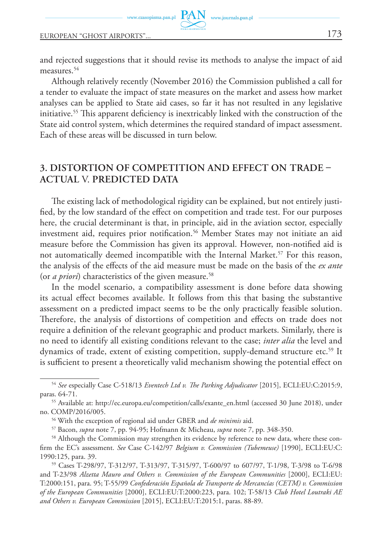and rejected suggestions that it should revise its methods to analyse the impact of aid measures.<sup>54</sup>

www.journals.pan.pl

Although relatively recently (November 2016) the Commission published a call for a tender to evaluate the impact of state measures on the market and assess how market analyses can be applied to State aid cases, so far it has not resulted in any legislative initiative.55 This apparent deficiency is inextricably linked with the construction of the State aid control system, which determines the required standard of impact assessment. Each of these areas will be discussed in turn below.

# **3. Distortion of competition and effect on trade – actual** v. **predicted data**

The existing lack of methodological rigidity can be explained, but not entirely justified, by the low standard of the effect on competition and trade test. For our purposes here, the crucial determinant is that, in principle, aid in the aviation sector, especially investment aid, requires prior notification.<sup>56</sup> Member States may not initiate an aid measure before the Commission has given its approval. However, non-notified aid is not automatically deemed incompatible with the Internal Market.<sup>57</sup> For this reason, the analysis of the effects of the aid measure must be made on the basis of the *ex ante* (or *a priori*) characteristics of the given measure.<sup>58</sup>

In the model scenario, a compatibility assessment is done before data showing its actual effect becomes available. It follows from this that basing the substantive assessment on a predicted impact seems to be the only practically feasible solution. Therefore, the analysis of distortions of competition and effects on trade does not require a definition of the relevant geographic and product markets. Similarly, there is no need to identify all existing conditions relevant to the case; *inter alia* the level and dynamics of trade, extent of existing competition, supply-demand structure etc.<sup>59</sup> It is sufficient to present a theoretically valid mechanism showing the potential effect on

<sup>54</sup> *See* especially Case C-518/13 *Eventech Ltd v. The Parking Adjudicator* [2015], ECLI:EU:C:2015:9, paras. 64-71.

<sup>55</sup> Available at: http://ec.europa.eu/competition/calls/exante\_en.html (accessed 30 June 2018), under no. COMP/2016/005. 56 With the exception of regional aid under GBER and *de minimis* aid.

<sup>57</sup> Bacon, *supra* note 7, pp. 94-95; Hofmann & Micheau, *supra* note 7, pp. 348-350.

<sup>58</sup> Although the Commission may strengthen its evidence by reference to new data, where these confirm the EC's assessment. *See* Case C-142/97 *Belgium v. Commission (Tubemeuse)* [1990], ECLI:EU:C: 1990:125, para. 39.

<sup>59</sup> Cases T-298/97, T-312/97, T-313/97, T-315/97, T-600/97 to 607/97, T-1/98, T-3/98 to T-6/98 and T-23/98 *Alzetta Mauro and Others v. Commission of the European Communities* [2000], ECLI:EU: T:2000:151, para. 95; T-55/99 *Confederación Española de Transporte de Mercancías (CETM) v. Commission of the European Communities* [2000], ECLI:EU:T:2000:223, para. 102; T‑58/13 *Club Hotel Loutraki AE and Others v. European Commission* [2015], ECLI:EU:T:2015:1, paras. 88-89.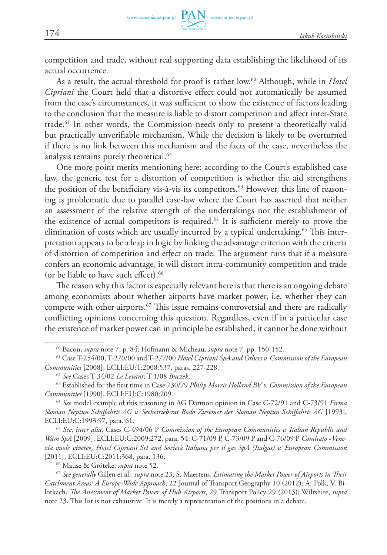competition and trade, without real supporting data establishing the likelihood of its actual occurrence.

As a result, the actual threshold for proof is rather low.<sup>60</sup> Although, while in *Hotel Cipriani* the Court held that a distortive effect could not automatically be assumed from the case's circumstances, it was sufficient to show the existence of factors leading to the conclusion that the measure is liable to distort competition and affect inter-State trade.61 In other words, the Commission needs only to present a theoretically valid but practically unverifiable mechanism. While the decision is likely to be overturned if there is no link between this mechanism and the facts of the case, nevertheless the analysis remains purely theoretical.<sup>62</sup>

One more point merits mentioning here: according to the Court's established case law, the generic test for a distortion of competition is whether the aid strengthens the position of the beneficiary vis-à-vis its competitors.<sup>63</sup> However, this line of reasoning is problematic due to parallel case-law where the Court has asserted that neither an assessment of the relative strength of the undertakings nor the establishment of the existence of actual competitors is required.<sup>64</sup> It is sufficient merely to prove the elimination of costs which are usually incurred by a typical undertaking.<sup>65</sup> This interpretation appears to be a leap in logic by linking the advantage criterion with the criteria of distortion of competition and effect on trade. The argument runs that if a measure confers an economic advantage, it will distort intra-community competition and trade (or be liable to have such effect). $66$ 

The reason why this factor is especially relevant here is that there is an ongoing debate among economists about whether airports have market power, i.e. whether they can compete with other airports.<sup>67</sup> This issue remains controversial and there are radically conflicting opinions concerning this question. Regardless, even if in a particular case the existence of market power can in principle be established, it cannot be done without

<sup>65</sup> *See*, *inter alia*, Cases C-494/06 P *Commission of the European Communities v. Italian Republic and Wam SpA* [2009], ECLI:EU:C:2009:272, para. 54; C-71/09 P, C-73/09 P and C-76/09 P *Comitato «Venezia vuole vivere», Hotel Cipriani Srl and Società Italiana per il gas SpA (Italgas) v. European Commission* [2011], ECLI: EU: C: 2011: 368, para. 136.

66 Mause & Gröteke, *supra* note 52, 67 *See generally* Gillen et al., *supra* note 23; S. Maertens, *Estimating the Market Power of Airports in Their Catchment Areas: A Europe-Wide Approach*, 22 Journal of Transport Geography 10 (2012); A. Polk, V. Bilotkach, *The Assessment of Market Power of Hub Airports*, 29 Transport Policy 29 (2013); Wiltshire, *supra*  note 23. This list is not exhaustive. It is merely a representation of the positions in a debate.

<sup>60</sup> Bacon, *supra* note 7, p. 84; Hofmann & Micheau, *supra* note 7, pp. 150-152.

<sup>61</sup> Case T-254/00, T-270/00 and T-277/00 *Hotel Cipriani SpA and Others v. Commission of the European Communities* [2008], ECLI:EU:T:2008:537, paras. 227-228.

<sup>62</sup> *See* Cases T-34/02 *Le Levant*; T-1/08 *Buczek*.

<sup>63</sup> Established for the first time in Case 730/79 *Philip Morris Holland BV v. Commission of the European Communities* [1990], ECLI:EU:C:1980:209.

<sup>64</sup> *See* model example of this reasoning in AG Darmon opinion in Case C-72/91 and C-73/91 *Firma Sloman Neptun Schiffahrts AG v. Seebetriebsrat Bodo Ziesemer der Sloman Neptun Schiffahrts AG* [1993], ECLI:EU:C:1993:97, para. 61.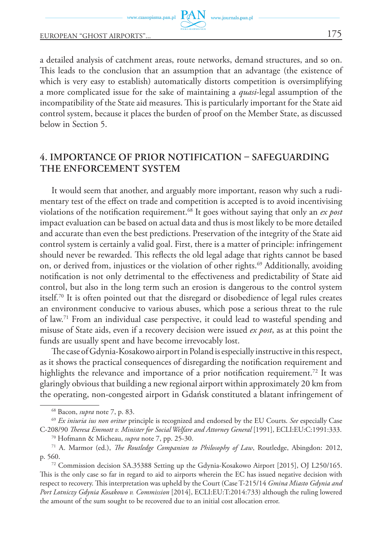a detailed analysis of catchment areas, route networks, demand structures, and so on. This leads to the conclusion that an assumption that an advantage (the existence of which is very easy to establish) automatically distorts competition is oversimplifying a more complicated issue for the sake of maintaining a *quasi*-legal assumption of the incompatibility of the State aid measures. This is particularly important for the State aid control system, because it places the burden of proof on the Member State, as discussed below in Section 5.

## **4. Importance of prior notification – safeguarding the enforcement system**

It would seem that another, and arguably more important, reason why such a rudimentary test of the effect on trade and competition is accepted is to avoid incentivising violations of the notification requirement.68 It goes without saying that only an *ex post* impact evaluation can be based on actual data and thus is most likely to be more detailed and accurate than even the best predictions. Preservation of the integrity of the State aid control system is certainly a valid goal. First, there is a matter of principle: infringement should never be rewarded. This reflects the old legal adage that rights cannot be based on, or derived from, injustices or the violation of other rights.<sup>69</sup> Additionally, avoiding notification is not only detrimental to the effectiveness and predictability of State aid control, but also in the long term such an erosion is dangerous to the control system itself.70 It is often pointed out that the disregard or disobedience of legal rules creates an environment conducive to various abuses, which pose a serious threat to the rule of law.71 From an individual case perspective, it could lead to wasteful spending and misuse of State aids, even if a recovery decision were issued *ex post*, as at this point the funds are usually spent and have become irrevocably lost.

The case of Gdynia-Kosakowo airport in Poland is especially instructive in this respect, as it shows the practical consequences of disregarding the notification requirement and highlights the relevance and importance of a prior notification requirement.<sup>72</sup> It was glaringly obvious that building a new regional airport within approximately 20 km from the operating, non-congested airport in Gdańsk constituted a blatant infringement of

<sup>70</sup> Hofmann & Micheau, *supra* note 7, pp. 25-30.

<sup>68</sup> Bacon, *supra* note 7, p. 83.

<sup>69</sup> *Ex iniuria ius non oritur* principle is recognized and endorsed by the EU Courts. *See* especially Case C-208/90 *Theresa Emmott v. Minister for Social Welfare and Attorney General* [1991], ECLI:EU:C:1991:333.

<sup>71</sup> A. Marmor (ed.), *The Routledge Companion to Philosophy of Law*, Routledge, Abingdon: 2012, p. 560.

<sup>72</sup> Commission decision SA.35388 Setting up the Gdynia-Kosakowo Airport [2015], OJ L250/165. This is the only case so far in regard to aid to airports wherein the EC has issued negative decision with respect to recovery. This interpretation was upheld by the Court (Case T-215/14 *Gmina Miasto Gdynia and Port Lotniczy Gdynia Kosakowo v. Commission* [2014], ECLI:EU:T:2014:733) although the ruling lowered the amount of the sum sought to be recovered due to an initial cost allocation error.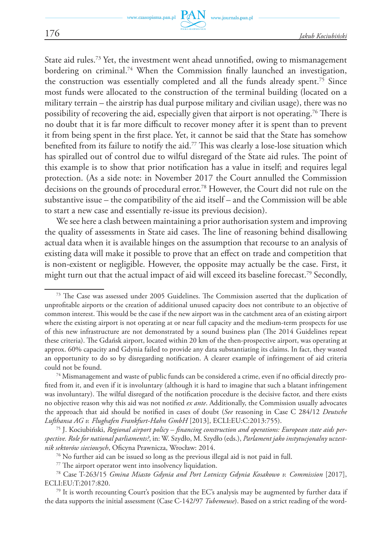State aid rules.73 Yet, the investment went ahead unnotified, owing to mismanagement bordering on criminal.74 When the Commission finally launched an investigation, the construction was essentially completed and all the funds already spent.75 Since most funds were allocated to the construction of the terminal building (located on a military terrain – the airstrip has dual purpose military and civilian usage), there was no possibility of recovering the aid, especially given that airport is not operating.<sup>76</sup> There is no doubt that it is far more difficult to recover money after it is spent than to prevent it from being spent in the first place. Yet, it cannot be said that the State has somehow benefited from its failure to notify the aid.<sup>77</sup> This was clearly a lose-lose situation which has spiralled out of control due to wilful disregard of the State aid rules. The point of this example is to show that prior notification has a value in itself; and requires legal protection. (As a side note: in November 2017 the Court annulled the Commission decisions on the grounds of procedural error.78 However, the Court did not rule on the substantive issue – the compatibility of the aid itself – and the Commission will be able to start a new case and essentially re-issue its previous decision).

We see here a clash between maintaining a prior authorisation system and improving the quality of assessments in State aid cases. The line of reasoning behind disallowing actual data when it is available hinges on the assumption that recourse to an analysis of existing data will make it possible to prove that an effect on trade and competition that is non-existent or negligible. However, the opposite may actually be the case. First, it might turn out that the actual impact of aid will exceed its baseline forecast.<sup>79</sup> Secondly,

<sup>73</sup> The Case was assessed under 2005 Guidelines. The Commission asserted that the duplication of unprofitable airports or the creation of additional unused capacity does not contribute to an objective of common interest. This would be the case if the new airport was in the catchment area of an existing airport where the existing airport is not operating at or near full capacity and the medium-term prospects for use of this new infrastructure are not demonstrated by a sound business plan (The 2014 Guidelines repeat these criteria). The Gdańsk airport, located within 20 km of the then-prospective airport, was operating at approx. 60% capacity and Gdynia failed to provide any data substantiating its claims. In fact, they wasted an opportunity to do so by disregarding notification. A clearer example of infringement of aid criteria could not be found. 74 Mismanagement and waste of public funds can be considered a crime, even if no official directly pro-

fited from it, and even if it is involuntary (although it is hard to imagine that such a blatant infringement was involuntary). The wilful disregard of the notification procedure is the decisive factor, and there exists no objective reason why this aid was not notified *ex ante*. Additionally, the Commission usually advocates the approach that aid should be notified in cases of doubt (*See* reasoning in Case C 284/12 *Deutsche Lufthansa AG v. Flughafen Frankfurt-Hahn GmbH* [2013], ECLI:EU:C:2013:755).

<sup>75</sup> J. Kociubiński, *Regional airport policy – financing construction and operations: European state aids perspective. Role for national parliaments?*, in: W. Szydło, M. Szydło (eds.), *Parlament jako instytucjonalny uczestnik sektorów sieciowych*, Oficyna Prawnicza, Wrocław: 2014.

<sup>&</sup>lt;sup>76</sup> No further aid can be issued so long as the previous illegal aid is not paid in full.

<sup>77</sup> The airport operator went into insolvency liquidation.

<sup>78</sup> Case T‑263/15 *Gmina Miasto Gdynia and Port Lotniczy Gdynia Kosakowo v. Commission* [2017], ECLI:EU:T:2017:820.

 $79$  It is worth recounting Court's position that the EC's analysis may be augmented by further data if the data supports the initial assessment (Case C-142/97 *Tubemeuse*). Based on a strict reading of the word-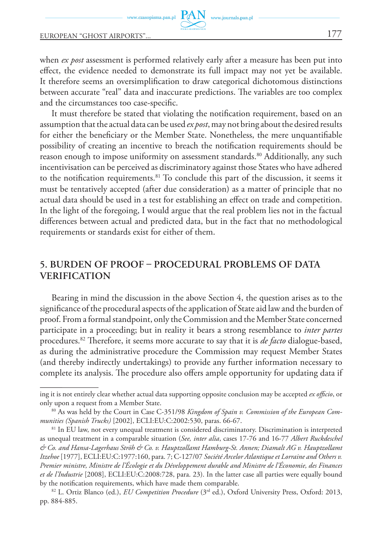www.czasopisma.pan.pl

#### European "ghost airports"... 177

when *ex post* assessment is performed relatively early after a measure has been put into effect, the evidence needed to demonstrate its full impact may not yet be available. It therefore seems an oversimplification to draw categorical dichotomous distinctions between accurate "real" data and inaccurate predictions. The variables are too complex and the circumstances too case-specific.

www.journals.pan.pl

It must therefore be stated that violating the notification requirement, based on an assumption that the actual data can be used *ex post*, may not bring about the desired results for either the beneficiary or the Member State. Nonetheless, the mere unquantifiable possibility of creating an incentive to breach the notification requirements should be reason enough to impose uniformity on assessment standards.<sup>80</sup> Additionally, any such incentivisation can be perceived as discriminatory against those States who have adhered to the notification requirements.<sup>81</sup> To conclude this part of the discussion, it seems it must be tentatively accepted (after due consideration) as a matter of principle that no actual data should be used in a test for establishing an effect on trade and competition. In the light of the foregoing, I would argue that the real problem lies not in the factual differences between actual and predicted data, but in the fact that no methodological requirements or standards exist for either of them.

## **5. Burden of proof – procedural problems of data verification**

Bearing in mind the discussion in the above Section 4, the question arises as to the significance of the procedural aspects of the application of State aid law and the burden of proof. From a formal standpoint, only the Commission and the Member State concerned participate in a proceeding; but in reality it bears a strong resemblance to *inter partes* procedures.82 Therefore, it seems more accurate to say that it is *de facto* dialogue-based, as during the administrative procedure the Commission may request Member States (and thereby indirectly undertakings) to provide any further information necessary to complete its analysis. The procedure also offers ample opportunity for updating data if

ing it is not entirely clear whether actual data supporting opposite conclusion may be accepted *ex officio*, or only upon a request from a Member State.

<sup>80</sup> As was held by the Court in Case C-351/98 *Kingdom of Spain v. Commission of the European Communities (Spanish Trucks)* [2002], ECLI:EU:C:2002:530, paras. 66-67.

<sup>&</sup>lt;sup>81</sup> In EU law, not every unequal treatment is considered discriminatory. Discrimination is interpreted as unequal treatment in a comparable situation (*See, inter alia*, cases 17-76 and 16-77 *Albert Ruckdeschel & Co. and Hansa-Lagerhaus Ströh & Co. v. Hauptzollamt Hamburg-St. Annen; Diamalt AG v. Hauptzollamt Itzehoe* [1977], ECLI:EU:C:1977:160, para. 7; C-127/07 *Société Arcelor Atlantique et Lorraine and Others v. Premier ministre, Ministre de l'Écologie et du Développement durable and Ministre de l'Économie, des Finances et de l'Industrie* [2008], ECLI:EU:C:2008:728, para. 23). In the latter case all parties were equally bound by the notification requirements, which have made them comparable.

<sup>82</sup> L. Ortiz Blanco (ed.), *EU Competition Procedure* (3rd ed.), Oxford University Press, Oxford: 2013, pp. 884-885.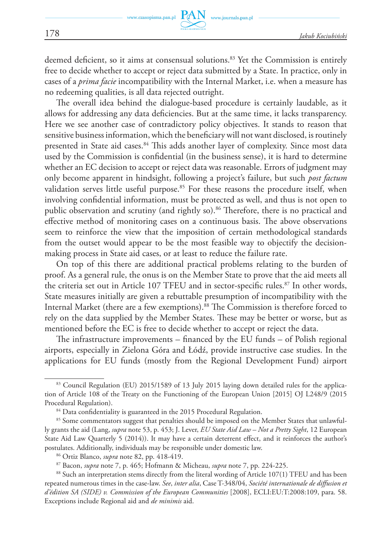deemed deficient, so it aims at consensual solutions.83 Yet the Commission is entirely free to decide whether to accept or reject data submitted by a State. In practice, only in cases of a *prima facie* incompatibility with the Internal Market, i.e. when a measure has no redeeming qualities, is all data rejected outright.

The overall idea behind the dialogue-based procedure is certainly laudable, as it allows for addressing any data deficiencies. But at the same time, it lacks transparency. Here we see another case of contradictory policy objectives. It stands to reason that sensitive business information, which the beneficiary will not want disclosed, is routinely presented in State aid cases.<sup>84</sup> This adds another layer of complexity. Since most data used by the Commission is confidential (in the business sense), it is hard to determine whether an EC decision to accept or reject data was reasonable. Errors of judgment may only become apparent in hindsight, following a project's failure, but such *post factum* validation serves little useful purpose.<sup>85</sup> For these reasons the procedure itself, when involving confidential information, must be protected as well, and thus is not open to public observation and scrutiny (and rightly so).<sup>86</sup> Therefore, there is no practical and effective method of monitoring cases on a continuous basis. The above observations seem to reinforce the view that the imposition of certain methodological standards from the outset would appear to be the most feasible way to objectify the decisionmaking process in State aid cases, or at least to reduce the failure rate.

On top of this there are additional practical problems relating to the burden of proof. As a general rule, the onus is on the Member State to prove that the aid meets all the criteria set out in Article 107 TFEU and in sector-specific rules.<sup>87</sup> In other words, State measures initially are given a rebuttable presumption of incompatibility with the Internal Market (there are a few exemptions).<sup>88</sup> The Commission is therefore forced to rely on the data supplied by the Member States. These may be better or worse, but as mentioned before the EC is free to decide whether to accept or reject the data.

The infrastructure improvements – financed by the EU funds – of Polish regional airports, especially in Zielona Góra and Łódź, provide instructive case studies. In the applications for EU funds (mostly from the Regional Development Fund) airport

<sup>83</sup> Council Regulation (EU) 2015/1589 of 13 July 2015 laying down detailed rules for the application of Article 108 of the Treaty on the Functioning of the European Union [2015] OJ L248/9 (2015 Procedural Regulation).

<sup>&</sup>lt;sup>84</sup> Data confidentiality is guaranteed in the 2015 Procedural Regulation.

<sup>&</sup>lt;sup>85</sup> Some commentators suggest that penalties should be imposed on the Member States that unlawfully grants the aid (Lang, *supra* note 53, p. 453; J. Lever, *EU State Aid Law – Not a Pretty Sight*, 12 European State Aid Law Quarterly 5 (2014)). It may have a certain deterrent effect, and it reinforces the author's postulates. Additionally, individuals may be responsible under domestic law.

<sup>86</sup> Ortiz Blanco, *supra* note 82, pp. 418-419.

<sup>87</sup> Bacon, *supra* note 7, p. 465; Hofmann & Micheau, *supra* note 7, pp. 224-225.

<sup>&</sup>lt;sup>88</sup> Such an interpretation stems directly from the literal wording of Article 107(1) TFEU and has been repeated numerous times in the case-law. *See*, *inter alia*, Case T-348/04, *Société internationale de diffusion et d'édition SA (SIDE) v. Commission of the European Communities* [2008], ECLI:EU:T:2008:109, para. 58. Exceptions include Regional aid and *de minimis* aid.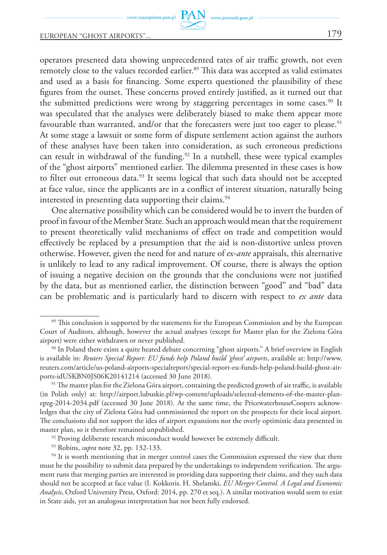operators presented data showing unprecedented rates of air traffic growth, not even remotely close to the values recorded earlier.<sup>89</sup> This data was accepted as valid estimates and used as a basis for financing. Some experts questioned the plausibility of these figures from the outset. These concerns proved entirely justified, as it turned out that the submitted predictions were wrong by staggering percentages in some cases.<sup>90</sup> It was speculated that the analyses were deliberately biased to make them appear more favourable than warranted, and/or that the forecasters were just too eager to please.<sup>91</sup> At some stage a lawsuit or some form of dispute settlement action against the authors of these analyses have been taken into consideration, as such erroneous predictions can result in withdrawal of the funding.<sup>92</sup> In a nutshell, these were typical examples of the "ghost airports" mentioned earlier. The dilemma presented in these cases is how to filter out erroneous data.<sup>93</sup> It seems logical that such data should not be accepted at face value, since the applicants are in a conflict of interest situation, naturally being interested in presenting data supporting their claims.<sup>94</sup>

One alternative possibility which can be considered would be to invert the burden of proof in favour of the Member State. Such an approach would mean that the requirement to present theoretically valid mechanisms of effect on trade and competition would effectively be replaced by a presumption that the aid is non-distortive unless proven otherwise. However, given the need for and nature of *ex-ante* appraisals, this alternative is unlikely to lead to any radical improvement. Of course, there is always the option of issuing a negative decision on the grounds that the conclusions were not justified by the data, but as mentioned earlier, the distinction between "good" and "bad" data can be problematic and is particularly hard to discern with respect to *ex ante* data

<sup>&</sup>lt;sup>89</sup> This conclusion is supported by the statements for the European Commission and by the European Court of Auditors, although, however the actual analyses (except for Master plan for the Zielona Góra airport) were either withdrawn or never published.

<sup>90</sup> In Poland there exists a quite heated debate concerning "ghost airports." A brief overview in English is available in: *Reuters Special Report: EU funds help Poland build 'ghost' airports*, available at: http://www. reuters.com/article/us-poland-airports-specialreport/special-report-eu-funds-help-poland-build-ghost-airports-idUSKBN0JS06K20141214 (accessed 30 June 2018).

<sup>&</sup>lt;sup>91</sup> The master plan for the Zielona Góra airport, containing the predicted growth of air traffic, is available (in Polish only) at: http://airport.lubuskie.pl/wp-content/uploads/selected-elements-of-the-master-planepzg-2014-2034.pdf (accessed 30 June 2018). At the same time, the PricewaterhouseCoopers acknowledges that the city of Zielona Góra had commissioned the report on the prospects for their local airport. The conclusions did not support the idea of airport expansions nor the overly optimistic data presented in master plan, so it therefore remained unpublished.

<sup>&</sup>lt;sup>92</sup> Proving deliberate research misconduct would however be extremely difficult.

<sup>93</sup> Robins, *supra* note 32, pp. 132-133.

<sup>&</sup>lt;sup>94</sup> It is worth mentioning that in merger control cases the Commission expressed the view that there must be the possibility to submit data prepared by the undertakings to independent verification. The argument runs that merging parties are interested in providing data supporting their claims, and they such data should not be accepted at face value (I. Kokkoris. H. Shelanski, *EU Merger Control. A Legal and Economic Analysis*, Oxford University Press, Oxford: 2014, pp. 270 et seq.). A similar motivation would seem to exist in State aids, yet an analogous interpretation has not been fully endorsed.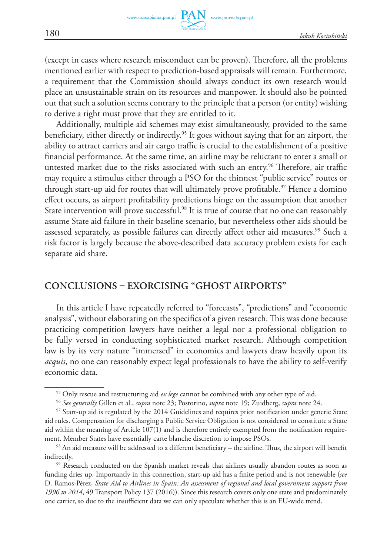(except in cases where research misconduct can be proven). Therefore, all the problems mentioned earlier with respect to prediction-based appraisals will remain. Furthermore, a requirement that the Commission should always conduct its own research would place an unsustainable strain on its resources and manpower. It should also be pointed out that such a solution seems contrary to the principle that a person (or entity) wishing to derive a right must prove that they are entitled to it.

Additionally, multiple aid schemes may exist simultaneously, provided to the same beneficiary, either directly or indirectly.95 It goes without saying that for an airport, the ability to attract carriers and air cargo traffic is crucial to the establishment of a positive financial performance. At the same time, an airline may be reluctant to enter a small or untested market due to the risks associated with such an entry.<sup>96</sup> Therefore, air traffic may require a stimulus either through a PSO for the thinnest "public service" routes or through start-up aid for routes that will ultimately prove profitable.<sup>97</sup> Hence a domino effect occurs, as airport profitability predictions hinge on the assumption that another State intervention will prove successful.<sup>98</sup> It is true of course that no one can reasonably assume State aid failure in their baseline scenario, but nevertheless other aids should be assessed separately, as possible failures can directly affect other aid measures.<sup>99</sup> Such a risk factor is largely because the above-described data accuracy problem exists for each separate aid share.

### **Conclusions – exorcising "ghost airports"**

In this article I have repeatedly referred to "forecasts", "predictions" and "economic analysis", without elaborating on the specifics of a given research. This was done because practicing competition lawyers have neither a legal nor a professional obligation to be fully versed in conducting sophisticated market research. Although competition law is by its very nature "immersed" in economics and lawyers draw heavily upon its *acquis*, no one can reasonably expect legal professionals to have the ability to self-verify economic data.

<sup>95</sup> Only rescue and restructuring aid *ex lege* cannot be combined with any other type of aid.

<sup>96</sup> *See generally* Gillen et al., *supra* note 23; Postorino, *supra* note 19; Zuidberg, *supra* note 24.

<sup>97</sup> Start-up aid is regulated by the 2014 Guidelines and requires prior notification under generic State aid rules. Compensation for discharging a Public Service Obligation is not considered to constitute a State aid within the meaning of Article 107(1) and is therefore entirely exempted from the notification require-

ment. Member States have essentially carte blanche discretion to impose PSOs.<br><sup>98</sup> An aid measure will be addressed to a different beneficiary – the airline. Thus, the airport will benefit indirectly.

<sup>&</sup>lt;sup>99</sup> Research conducted on the Spanish market reveals that airlines usually abandon routes as soon as funding dries up. Importantly in this connection, start-up aid has a finite period and is not renewable (*see* D. Ramos-Pérez, *State Aid to Airlines in Spain: An assessment of regional and local government support from 1996 to 2014*, 49 Transport Policy 137 (2016)). Since this research covers only one state and predominately one carrier, so due to the insufficient data we can only speculate whether this is an EU-wide trend.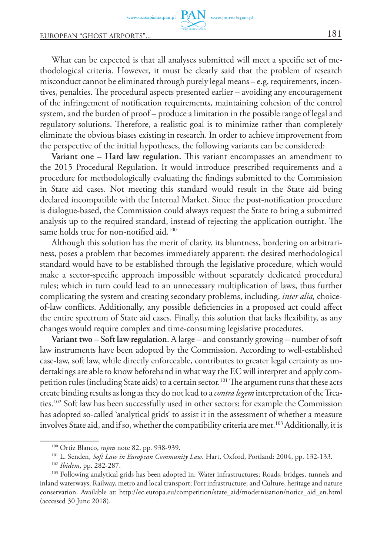What can be expected is that all analyses submitted will meet a specific set of methodological criteria. However, it must be clearly said that the problem of research misconduct cannot be eliminated through purely legal means – e.g. requirements, incentives, penalties. The procedural aspects presented earlier – avoiding any encouragement of the infringement of notification requirements, maintaining cohesion of the control system, and the burden of proof – produce a limitation in the possible range of legal and regulatory solutions. Therefore, a realistic goal is to minimize rather than completely eliminate the obvious biases existing in research. In order to achieve improvement from the perspective of the initial hypotheses, the following variants can be considered:

www.journals.pan.pl

**Variant one – Hard law regulation.** This variant encompasses an amendment to the 2015 Procedural Regulation. It would introduce prescribed requirements and a procedure for methodologically evaluating the findings submitted to the Commission in State aid cases. Not meeting this standard would result in the State aid being declared incompatible with the Internal Market. Since the post-notification procedure is dialogue-based, the Commission could always request the State to bring a submitted analysis up to the required standard, instead of rejecting the application outright. The same holds true for non-notified aid.<sup>100</sup>

Although this solution has the merit of clarity, its bluntness, bordering on arbitrariness, poses a problem that becomes immediately apparent: the desired methodological standard would have to be established through the legislative procedure, which would make a sector-specific approach impossible without separately dedicated procedural rules; which in turn could lead to an unnecessary multiplication of laws, thus further complicating the system and creating secondary problems, including, *inter alia,* choiceof-law conflicts. Additionally, any possible deficiencies in a proposed act could affect the entire spectrum of State aid cases. Finally, this solution that lacks flexibility, as any changes would require complex and time-consuming legislative procedures.

**Variant two – Soft law regulation**. A large – and constantly growing – number of soft law instruments have been adopted by the Commission. According to well-established case-law, soft law, while directly enforceable, contributes to greater legal certainty as undertakings are able to know beforehand in what way the EC will interpret and apply competition rules (including State aids) to a certain sector.<sup>101</sup> The argument runs that these acts create binding results as long as they do not lead to a *contra legem* interpretation of the Treaties.102 Soft law has been successfully used in other sectors; for example the Commission has adopted so-called 'analytical grids' to assist it in the assessment of whether a measure involves State aid, and if so, whether the compatibility criteria are met.<sup>103</sup> Additionally, it is

<sup>100</sup> Ortiz Blanco, *supra* note 82, pp. 938-939.

<sup>101</sup> L. Senden, *Soft Law in European Community Law*. Hart, Oxford, Portland: 2004, pp. 132-133.

<sup>102</sup> *Ibidem*, pp. 282-287.

<sup>103</sup> Following analytical grids has been adopted in: Water infrastructures; Roads, bridges, tunnels and inland waterways; Railway, metro and local transport; Port infrastructure; and Culture, heritage and nature conservation. Available at: http://ec.europa.eu/competition/state\_aid/modernisation/notice\_aid\_en.html (accessed 30 June 2018).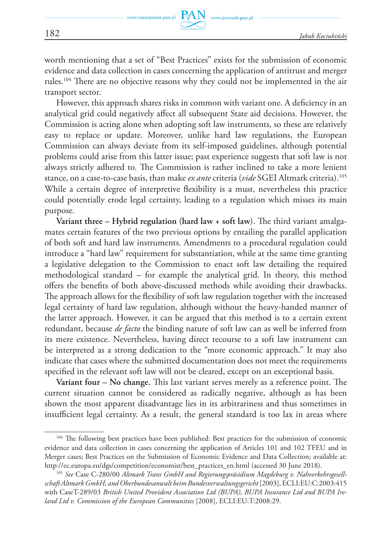worth mentioning that a set of "Best Practices" exists for the submission of economic evidence and data collection in cases concerning the application of antitrust and merger rules.104 There are no objective reasons why they could not be implemented in the air transport sector.

However, this approach shares risks in common with variant one. A deficiency in an analytical grid could negatively affect all subsequent State aid decisions. However, the Commission is acting alone when adopting soft law instruments, so these are relatively easy to replace or update. Moreover, unlike hard law regulations, the European Commission can always deviate from its self-imposed guidelines, although potential problems could arise from this latter issue; past experience suggests that soft law is not always strictly adhered to. The Commission is rather inclined to take a more lenient stance, on a case-to-case basis, than make *ex ante* criteria (*vide* SGEI Altmark criteria).105 While a certain degree of interpretive flexibility is a must, nevertheless this practice could potentially erode legal certainty, leading to a regulation which misses its main purpose.

**Variant three – Hybrid regulation (hard law + soft law**). The third variant amalgamates certain features of the two previous options by entailing the parallel application of both soft and hard law instruments. Amendments to a procedural regulation could introduce a "hard law" requirement for substantiation, while at the same time granting a legislative delegation to the Commission to enact soft law detailing the required methodological standard – for example the analytical grid. In theory, this method offers the benefits of both above-discussed methods while avoiding their drawbacks. The approach allows for the flexibility of soft law regulation together with the increased legal certainty of hard law regulation, although without the heavy-handed manner of the latter approach. However, it can be argued that this method is to a certain extent redundant, because *de facto* the binding nature of soft law can as well be inferred from its mere existence. Nevertheless, having direct recourse to a soft law instrument can be interpreted as a strong dedication to the "more economic approach." It may also indicate that cases where the submitted documentation does not meet the requirements specified in the relevant soft law will not be cleared, except on an exceptional basis.

**Variant four – No change.** This last variant serves merely as a reference point. The current situation cannot be considered as radically negative, although as has been shown the most apparent disadvantage lies in its arbitrariness and thus sometimes in insufficient legal certainty. As a result, the general standard is too lax in areas where

<sup>&</sup>lt;sup>104</sup> The following best practices have been published: Best practices for the submission of economic evidence and data collection in cases concerning the application of Articles 101 and 102 TFEU and in Merger cases; Best Practices on the Submission of Economic Evidence and Data Collection; available at: http://ec.europa.eu/dgs/competition/economist/best\_practices\_en.html (accessed 30 June 2018).

<sup>105</sup> *See* Case C-280/00 *Altmark Trans GmbH and Regierungspräsidium Magdeburg v. Nahverkehrsgesellschaft Altmark GmbH, and Oberbundesanwalt beim Bundesverwaltungsgericht* [2003], ECLI:EU:C:2003:415 with CaseT-289/03 *British United Provident Association Ltd (BUPA), BUPA Insurance Ltd and BUPA Ireland Ltd v. Commission of the European Communities* [2008], ECLI:EU:T:2008:29.